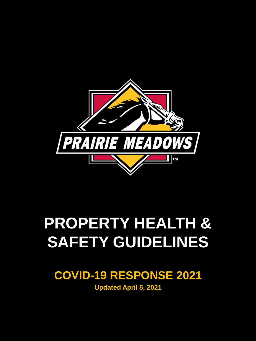

# **PROPERTY HEALTH & SAFETY GUIDELINES**

### **COVID-19 RESPONSE 2021**

**Updated April 5, 2021**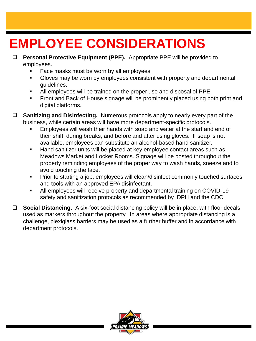### **EMPLOYEE CONSIDERATIONS**

- **Personal Protective Equipment (PPE).** Appropriate PPE will be provided to employees.
	- Face masks must be worn by all employees.
	- Gloves may be worn by employees consistent with property and departmental guidelines.
	- All employees will be trained on the proper use and disposal of PPE.
	- Front and Back of House signage will be prominently placed using both print and digital platforms.
- **Sanitizing and Disinfecting.** Numerous protocols apply to nearly every part of the business, while certain areas will have more department-specific protocols.
	- Employees will wash their hands with soap and water at the start and end of their shift, during breaks, and before and after using gloves. If soap is not available, employees can substitute an alcohol-based hand sanitizer.
	- Hand sanitizer units will be placed at key employee contact areas such as Meadows Market and Locker Rooms. Signage will be posted throughout the property reminding employees of the proper way to wash hands, sneeze and to avoid touching the face.
	- Prior to starting a job, employees will clean/disinfect commonly touched surfaces and tools with an approved EPA disinfectant.
	- All employees will receive property and departmental training on COVID-19 safety and sanitization protocols as recommended by IDPH and the CDC.

 **Social Distancing.** A six-foot social distancing policy will be in place, with floor decals used as markers throughout the property. In areas where appropriate distancing is a challenge, plexiglass barriers may be used as a further buffer and in accordance with department protocols.

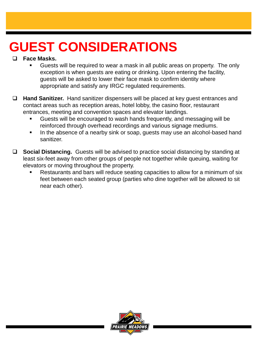### **GUEST CONSIDERATIONS**

#### **Face Masks.**

- Guests will be required to wear a mask in all public areas on property. The only exception is when guests are eating or drinking. Upon entering the facility, guests will be asked to lower their face mask to confirm identity where appropriate and satisfy any IRGC regulated requirements.
- **Hand Sanitizer.** Hand sanitizer dispensers will be placed at key guest entrances and contact areas such as reception areas, hotel lobby, the casino floor, restaurant entrances, meeting and convention spaces and elevator landings.
	- Guests will be encouraged to wash hands frequently, and messaging will be reinforced through overhead recordings and various signage mediums.
	- In the absence of a nearby sink or soap, guests may use an alcohol-based hand sanitizer.
- **Social Distancing.** Guests will be advised to practice social distancing by standing at least six-feet away from other groups of people not together while queuing, waiting for elevators or moving throughout the property.
	- Restaurants and bars will reduce seating capacities to allow for a minimum of six feet between each seated group (parties who dine together will be allowed to sit near each other).

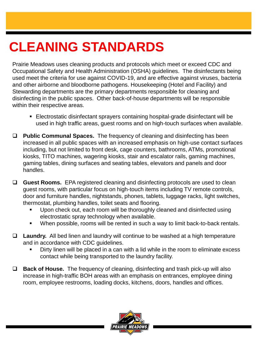### **CLEANING STANDARDS**

Prairie Meadows uses cleaning products and protocols which meet or exceed CDC and Occupational Safety and Health Administration (OSHA) guidelines. The disinfectants being used meet the criteria for use against COVID-19, and are effective against viruses, bacteria and other airborne and bloodborne pathogens. Housekeeping (Hotel and Facility) and Stewarding departments are the primary departments responsible for cleaning and disinfecting in the public spaces. Other back-of-house departments will be responsible within their respective areas.

- Electrostatic disinfectant sprayers containing hospital-grade disinfectant will be used in high traffic areas, guest rooms and on high-touch surfaces when available.
- **Public Communal Spaces.** The frequency of cleaning and disinfecting has been increased in all public spaces with an increased emphasis on high-use contact surfaces including, but not limited to front desk, cage counters, bathrooms, ATMs, promotional kiosks, TITO machines, wagering kiosks, stair and escalator rails, gaming machines, gaming tables, dining surfaces and seating tables, elevators and panels and door handles.
- **Guest Rooms.** EPA registered cleaning and disinfecting protocols are used to clean guest rooms, with particular focus on high-touch items including TV remote controls, door and furniture handles, nightstands, phones, tablets, luggage racks, light switches, thermostat, plumbing handles, toilet seats and flooring.
	- Upon check out, each room will be thoroughly cleaned and disinfected using electrostatic spray technology when available.
	- When possible, rooms will be rented in such a way to limit back-to-back rentals.
- **Laundry.** All bed linen and laundry will continue to be washed at a high temperature and in accordance with CDC guidelines.
	- Dirty linen will be placed in a can with a lid while in the room to eliminate excess contact while being transported to the laundry facility.
- **Back of House.** The frequency of cleaning, disinfecting and trash pick-up will also increase in high-traffic BOH areas with an emphasis on entrances, employee dining room, employee restrooms, loading docks, kitchens, doors, handles and offices.

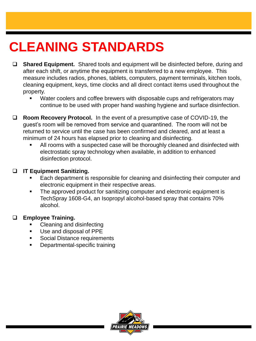### **CLEANING STANDARDS**

- **Shared Equipment.** Shared tools and equipment will be disinfected before, during and after each shift, or anytime the equipment is transferred to a new employee. This measure includes radios, phones, tablets, computers, payment terminals, kitchen tools, cleaning equipment, keys, time clocks and all direct contact items used throughout the property.
	- Water coolers and coffee brewers with disposable cups and refrigerators may continue to be used with proper hand washing hygiene and surface disinfection.
- **Room Recovery Protocol.** In the event of a presumptive case of COVID-19, the guest's room will be removed from service and quarantined. The room will not be returned to service until the case has been confirmed and cleared, and at least a minimum of 24 hours has elapsed prior to cleaning and disinfecting.
	- All rooms with a suspected case will be thoroughly cleaned and disinfected with electrostatic spray technology when available, in addition to enhanced disinfection protocol.

#### **IT Equipment Sanitizing.**

- Each department is responsible for cleaning and disinfecting their computer and electronic equipment in their respective areas.
- The approved product for sanitizing computer and electronic equipment is TechSpray 1608-G4, an Isopropyl alcohol-based spray that contains 70% alcohol.

#### **Employee Training.**

- Cleaning and disinfecting
- Use and disposal of PPE
- Social Distance requirements
- Departmental-specific training

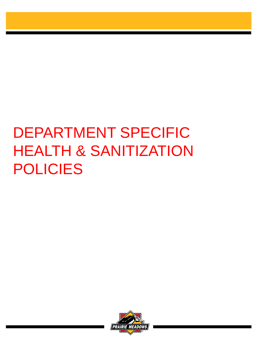# DEPARTMENT SPECIFIC HEALTH & SANITIZATION POLICIES

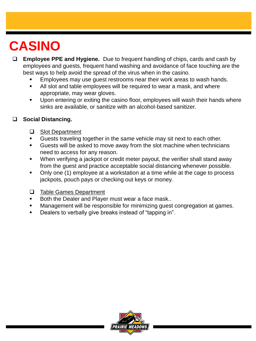### **CASINO**

- **Employee PPE and Hygiene.** Due to frequent handling of chips, cards and cash by employees and guests, frequent hand washing and avoidance of face touching are the best ways to help avoid the spread of the virus when in the casino.
	- Employees may use guest restrooms near their work areas to wash hands.
	- All slot and table employees will be required to wear a mask, and where appropriate, may wear gloves.
	- Upon entering or exiting the casino floor, employees will wash their hands where sinks are available, or sanitize with an alcohol-based sanitizer.

#### **Social Distancing.**

- □ Slot Department
- Guests traveling together in the same vehicle may sit next to each other.
- Guests will be asked to move away from the slot machine when technicians need to access for any reason.
- When verifying a jackpot or credit meter payout, the verifier shall stand away from the guest and practice acceptable social distancing whenever possible.
- Only one (1) employee at a workstation at a time while at the cage to process jackpots, pouch pays or checking out keys or money.
- □ Table Games Department
- Both the Dealer and Player must wear a face mask..
- Management will be responsible for minimizing guest congregation at games.
- Dealers to verbally give breaks instead of "tapping in".

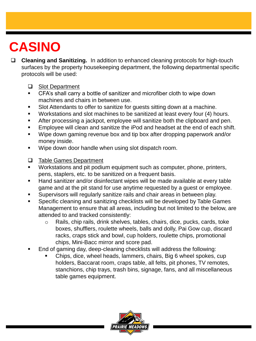### **CASINO**

- **Cleaning and Sanitizing.** In addition to enhanced cleaning protocols for high-touch surfaces by the property housekeeping department, the following departmental specific protocols will be used:
	- □ Slot Department
	- CFA's shall carry a bottle of sanitizer and microfiber cloth to wipe down machines and chairs in between use.
	- Slot Attendants to offer to sanitize for guests sitting down at a machine.
	- Workstations and slot machines to be sanitized at least every four (4) hours.
	- After processing a jackpot, employee will sanitize both the clipboard and pen.
	- Employee will clean and sanitize the iPod and headset at the end of each shift.
	- Wipe down gaming revenue box and tip box after dropping paperwork and/or money inside.
	- Wipe down door handle when using slot dispatch room.
	- □ Table Games Department
	- **Workstations and pit podium equipment such as computer, phone, printers,** pens, staplers, etc. to be sanitized on a frequent basis.
	- Hand sanitizer and/or disinfectant wipes will be made available at every table game and at the pit stand for use anytime requested by a guest or employee.
	- Supervisors will regularly sanitize rails and chair areas in between play.
	- **Specific cleaning and sanitizing checklists will be developed by Table Games** Management to ensure that all areas, including but not limited to the below, are attended to and tracked consistently:
		- o Rails, chip rails, drink shelves, tables, chairs, dice, pucks, cards, toke boxes, shufflers, roulette wheels, balls and dolly, Pai Gow cup, discard racks, craps stick and bowl, cup holders, roulette chips, promotional chips, Mini-Bacc mirror and score pad.
	- End of gaming day, deep-cleaning checklists will address the following:
		- Chips, dice, wheel heads, lammers, chairs, Big 6 wheel spokes, cup holders, Baccarat room, craps table, all felts, pit phones, TV remotes, stanchions, chip trays, trash bins, signage, fans, and all miscellaneous table games equipment.

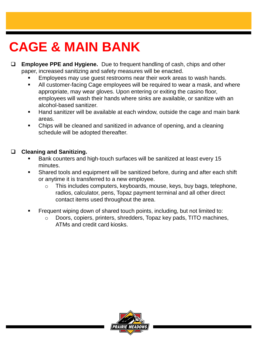### **CAGE & MAIN BANK**

- **Employee PPE and Hygiene.** Due to frequent handling of cash, chips and other paper, increased sanitizing and safety measures will be enacted.
	- Employees may use guest restrooms near their work areas to wash hands.
	- All customer-facing Cage employees will be required to wear a mask, and where appropriate, may wear gloves. Upon entering or exiting the casino floor, employees will wash their hands where sinks are available, or sanitize with an alcohol-based sanitizer.
	- Hand sanitizer will be available at each window, outside the cage and main bank areas.
	- Chips will be cleaned and sanitized in advance of opening, and a cleaning schedule will be adopted thereafter.

#### **Cleaning and Sanitizing.**

- Bank counters and high-touch surfaces will be sanitized at least every 15 minutes.
- Shared tools and equipment will be sanitized before, during and after each shift or anytime it is transferred to a new employee.
	- o This includes computers, keyboards, mouse, keys, buy bags, telephone, radios, calculator, pens, Topaz payment terminal and all other direct contact items used throughout the area.
- Frequent wiping down of shared touch points, including, but not limited to:
	- $\circ$  Doors, copiers, printers, shredders, Topaz key pads, TITO machines, ATMs and credit card kiosks.

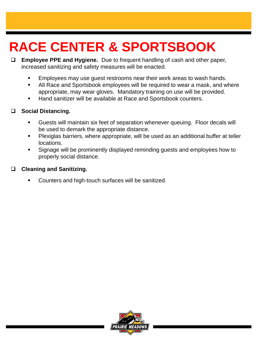### **RACE CENTER & SPORTSBOOK**

- **Employee PPE and Hygiene.** Due to frequent handling of cash and other paper, increased sanitizing and safety measures will be enacted.
	- **Employees may use guest restrooms near their work areas to wash hands.**
	- All Race and Sportsbook employees will be required to wear a mask, and where appropriate, may wear gloves. Mandatory training on use will be provided.
	- Hand sanitizer will be available at Race and Sportsbook counters.

#### **Social Distancing.**

- Guests will maintain six feet of separation whenever queuing. Floor decals will be used to demark the appropriate distance.
- **Plexiglas barriers, where appropriate, will be used as an additional buffer at teller** locations.
- Signage will be prominently displayed reminding guests and employees how to properly social distance.

#### **Cleaning and Sanitizing.**

Counters and high-touch surfaces will be sanitized.

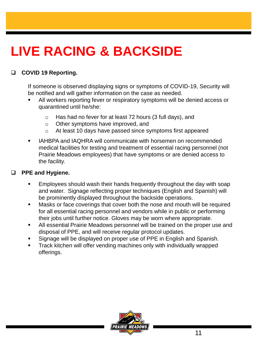#### **COVID 19 Reporting.**

If someone is observed displaying signs or symptoms of COVID-19, Security will be notified and will gather information on the case as needed.

- All workers reporting fever or respiratory symptoms will be denied access or quarantined until he/she:
	- o Has had no fever for at least 72 hours (3 full days), and
	- o Other symptoms have improved, and
	- o At least 10 days have passed since symptoms first appeared
- IAHBPA and IAQHRA will communicate with horsemen on recommended medical facilities for testing and treatment of essential racing personnel (not Prairie Meadows employees) that have symptoms or are denied access to the facility.

#### **PPE and Hygiene.**

- Employees should wash their hands frequently throughout the day with soap and water. Signage reflecting proper techniques (English and Spanish) will be prominently displayed throughout the backside operations.
- **Masks or face coverings that cover both the nose and mouth will be required** for all essential racing personnel and vendors while in public or performing their jobs until further notice. Gloves may be worn where appropriate.
- All essential Prairie Meadows personnel will be trained on the proper use and disposal of PPE, and will receive regular protocol updates.
- Signage will be displayed on proper use of PPE in English and Spanish.
- **Track kitchen will offer vending machines only with individually wrapped** offerings.

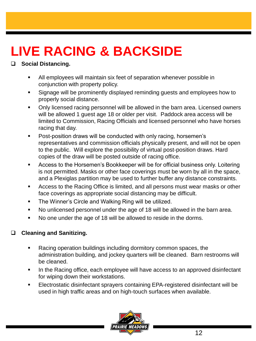#### **Social Distancing.**

- All employees will maintain six feet of separation whenever possible in conjunction with property policy.
- **Signage will be prominently displayed reminding guests and employees how to** properly social distance.
- Only licensed racing personnel will be allowed in the barn area. Licensed owners will be allowed 1 guest age 18 or older per visit. Paddock area access will be limited to Commission, Racing Officials and licensed personnel who have horses racing that day.
- **Post-position draws will be conducted with only racing, horsemen's** representatives and commission officials physically present, and will not be open to the public. Will explore the possibility of virtual post-position draws. Hard copies of the draw will be posted outside of racing office.
- **Access to the Horsemen's Bookkeeper will be for official business only. Loitering** is not permitted. Masks or other face coverings must be worn by all in the space, and a Plexiglas partition may be used to further buffer any distance constraints.
- Access to the Racing Office is limited, and all persons must wear masks or other face coverings as appropriate social distancing may be difficult.
- **The Winner's Circle and Walking Ring will be utilized.**
- No unlicensed personnel under the age of 18 will be allowed in the barn area.
- No one under the age of 18 will be allowed to reside in the dorms.

#### **Cleaning and Sanitizing.**

- Racing operation buildings including dormitory common spaces, the administration building, and jockey quarters will be cleaned. Barn restrooms will be cleaned.
- In the Racing office, each employee will have access to an approved disinfectant for wiping down their workstations.
- Electrostatic disinfectant sprayers containing EPA-registered disinfectant will be used in high traffic areas and on high-touch surfaces when available.

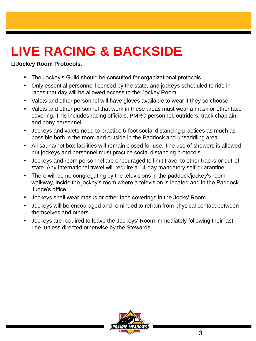#### **Jockey Room Protocols.**

- The Jockey's Guild should be consulted for organizational protocols.
- Only essential personnel licensed by the state, and jockeys scheduled to ride in races that day will be allowed access to the Jockey Room.
- **•** Valets and other personnel will have gloves available to wear if they so choose.
- Valets and other personnel that work in these areas must wear a mask or other face covering. This includes racing officials, PMRC personnel, outriders, track chaplain and pony personnel.
- **Jockeys and valets need to practice 6-foot social distancing practices as much as** possible both in the room and outside in the Paddock and unsaddling area.
- All sauna/hot box facilities will remain closed for use. The use of showers is allowed but jockeys and personnel must practice social distancing protocols.
- Jockeys and room personnel are encouraged to limit travel to other tracks or out-ofstate. Any international travel will require a 14-day mandatory self-quarantine.
- There will be no congregating by the televisions in the paddock/jockey's room walkway, inside the jockey's room where a television is located and in the Paddock Judge's office.
- **Jockeys shall wear masks or other face coverings in the Jocks' Room.**
- **Jockeys will be encouraged and reminded to refrain from physical contact between** themselves and others.
- Jockeys are required to leave the Jockeys' Room immediately following their last ride, unless directed otherwise by the Stewards.

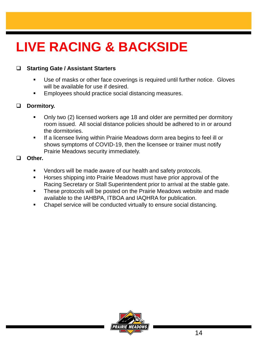#### **Starting Gate / Assistant Starters**

- Use of masks or other face coverings is required until further notice. Gloves will be available for use if desired.
- Employees should practice social distancing measures.

#### **Dormitory.**

- Only two (2) licensed workers age 18 and older are permitted per dormitory room issued. All social distance policies should be adhered to in or around the dormitories.
- If a licensee living within Prairie Meadows dorm area begins to feel ill or shows symptoms of COVID-19, then the licensee or trainer must notify Prairie Meadows security immediately.

**Other.** 

- Vendors will be made aware of our health and safety protocols.
- **Horses shipping into Prairie Meadows must have prior approval of the** Racing Secretary or Stall Superintendent prior to arrival at the stable gate.
- These protocols will be posted on the Prairie Meadows website and made available to the IAHBPA, ITBOA and IAQHRA for publication.
- Chapel service will be conducted virtually to ensure social distancing.

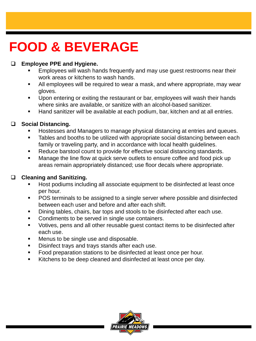### **FOOD & BEVERAGE**

#### **Employee PPE and Hygiene.**

- Employees will wash hands frequently and may use guest restrooms near their work areas or kitchens to wash hands.
- All employees will be required to wear a mask, and where appropriate, may wear gloves.
- **Upon entering or exiting the restaurant or bar, employees will wash their hands** where sinks are available, or sanitize with an alcohol-based sanitizer.
- Hand sanitizer will be available at each podium, bar, kitchen and at all entries.

#### **Social Distancing.**

- Hostesses and Managers to manage physical distancing at entries and queues.
- Tables and booths to be utilized with appropriate social distancing between each family or traveling party, and in accordance with local health guidelines.
- Reduce barstool count to provide for effective social distancing standards.
- Manage the line flow at quick serve outlets to ensure coffee and food pick up areas remain appropriately distanced; use floor decals where appropriate.

#### **Cleaning and Sanitizing.**

- **Host podiums including all associate equipment to be disinfected at least once** per hour.
- POS terminals to be assigned to a single server where possible and disinfected between each user and before and after each shift.
- Dining tables, chairs, bar tops and stools to be disinfected after each use.
- Condiments to be served in single use containers.
- Votives, pens and all other reusable guest contact items to be disinfected after each use.
- Menus to be single use and disposable.
- Disinfect trays and trays stands after each use.
- **Food preparation stations to be disinfected at least once per hour.**
- Kitchens to be deep cleaned and disinfected at least once per day.

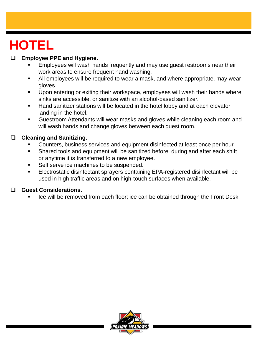### **HOTEL**

#### **Employee PPE and Hygiene.**

- Employees will wash hands frequently and may use guest restrooms near their work areas to ensure frequent hand washing.
- All employees will be required to wear a mask, and where appropriate, may wear gloves.
- Upon entering or exiting their workspace, employees will wash their hands where sinks are accessible, or sanitize with an alcohol-based sanitizer.
- Hand sanitizer stations will be located in the hotel lobby and at each elevator landing in the hotel.
- Guestroom Attendants will wear masks and gloves while cleaning each room and will wash hands and change gloves between each guest room.

#### **Cleaning and Sanitizing.**

- **Counters, business services and equipment disinfected at least once per hour.**
- Shared tools and equipment will be sanitized before, during and after each shift or anytime it is transferred to a new employee.
- Self serve ice machines to be suspended.
- Electrostatic disinfectant sprayers containing EPA-registered disinfectant will be used in high traffic areas and on high-touch surfaces when available.

#### **Guest Considerations.**

Ice will be removed from each floor; ice can be obtained through the Front Desk.

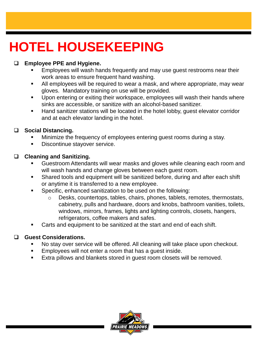### **HOTEL HOUSEKEEPING**

#### **Employee PPE and Hygiene.**

- Employees will wash hands frequently and may use guest restrooms near their work areas to ensure frequent hand washing.
- All employees will be required to wear a mask, and where appropriate, may wear gloves. Mandatory training on use will be provided.
- Upon entering or exiting their workspace, employees will wash their hands where sinks are accessible, or sanitize with an alcohol-based sanitizer.
- Hand sanitizer stations will be located in the hotel lobby, guest elevator corridor and at each elevator landing in the hotel.

#### **Social Distancing.**

- Minimize the frequency of employees entering guest rooms during a stay.
- **Discontinue stayover service.**

#### **Cleaning and Sanitizing.**

- **Guestroom Attendants will wear masks and gloves while cleaning each room and** will wash hands and change gloves between each guest room.
- Shared tools and equipment will be sanitized before, during and after each shift or anytime it is transferred to a new employee.
- Specific, enhanced sanitization to be used on the following:
	- o Desks, countertops, tables, chairs, phones, tablets, remotes, thermostats, cabinetry, pulls and hardware, doors and knobs, bathroom vanities, toilets, windows, mirrors, frames, lights and lighting controls, closets, hangers, refrigerators, coffee makers and safes.
- Carts and equipment to be sanitized at the start and end of each shift.

#### **Guest Considerations.**

- No stay over service will be offered. All cleaning will take place upon checkout.
- Employees will not enter a room that has a guest inside.
- Extra pillows and blankets stored in guest room closets will be removed.

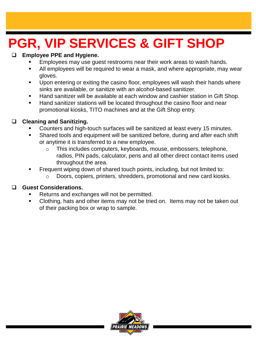### **PGR, VIP SERVICES & GIFT SHOP**

#### **Employee PPE and Hygiene.**

- Employees may use guest restrooms near their work areas to wash hands.
- All employees will be required to wear a mask, and where appropriate, may wear gloves.
- Upon entering or exiting the casino floor, employees will wash their hands where sinks are available, or sanitize with an alcohol-based sanitizer.
- Hand sanitizer will be available at each window and cashier station in Gift Shop.
- Hand sanitizer stations will be located throughout the casino floor and near promotional kiosks, TITO machines and at the Gift Shop entry.

#### **Cleaning and Sanitizing.**

- Counters and high-touch surfaces will be sanitized at least every 15 minutes.
- Shared tools and equipment will be sanitized before, during and after each shift or anytime it is transferred to a new employee.
	- o This includes computers, keyboards, mouse, embossers, telephone, radios, PIN pads, calculator, pens and all other direct contact items used throughout the area.
- Frequent wiping down of shared touch points, including, but not limited to:
	- o Doors, copiers, printers, shredders, promotional and new card kiosks.

#### **Guest Considerations.**

- Returns and exchanges will not be permitted.
- Clothing, hats and other items may not be tried on. Items may not be taken out of their packing box or wrap to sample.

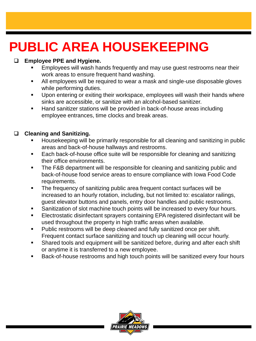### **PUBLIC AREA HOUSEKEEPING**

#### **Employee PPE and Hygiene.**

- Employees will wash hands frequently and may use guest restrooms near their work areas to ensure frequent hand washing.
- All employees will be required to wear a mask and single-use disposable gloves while performing duties.
- **Upon entering or exiting their workspace, employees will wash their hands where** sinks are accessible, or sanitize with an alcohol-based sanitizer.
- Hand sanitizer stations will be provided in back-of-house areas including employee entrances, time clocks and break areas.

#### **Cleaning and Sanitizing.**

- Housekeeping will be primarily responsible for all cleaning and sanitizing in public areas and back-of-house hallways and restrooms.
- Each back-of-house office suite will be responsible for cleaning and sanitizing their office environments.
- **The F&B department will be responsible for cleaning and sanitizing public and** back-of-house food service areas to ensure compliance with Iowa Food Code requirements.
- The frequency of sanitizing public area frequent contact surfaces will be increased to an hourly rotation, including, but not limited to: escalator railings, guest elevator buttons and panels, entry door handles and public restrooms.
- Sanitization of slot machine touch points will be increased to every four hours.
- Electrostatic disinfectant sprayers containing EPA registered disinfectant will be used throughout the property in high traffic areas when available.
- Public restrooms will be deep cleaned and fully sanitized once per shift. Frequent contact surface sanitizing and touch up cleaning will occur hourly.
- Shared tools and equipment will be sanitized before, during and after each shift or anytime it is transferred to a new employee.
- Back-of-house restrooms and high touch points will be sanitized every four hours

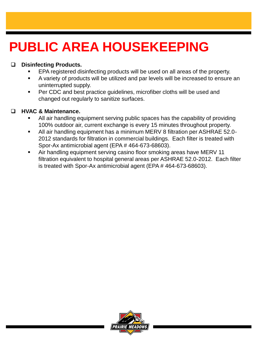### **PUBLIC AREA HOUSEKEEPING**

#### **Disinfecting Products.**

- EPA registered disinfecting products will be used on all areas of the property.
- A variety of products will be utilized and par levels will be increased to ensure an uninterrupted supply.
- Per CDC and best practice guidelines, microfiber cloths will be used and changed out regularly to sanitize surfaces.

#### **HVAC & Maintenance.**

- All air handling equipment serving public spaces has the capability of providing 100% outdoor air, current exchange is every 15 minutes throughout property.
- All air handling equipment has a minimum MERV 8 filtration per ASHRAE 52.0- 2012 standards for filtration in commercial buildings. Each filter is treated with Spor-Ax antimicrobial agent (EPA # 464-673-68603).
- Air handling equipment serving casino floor smoking areas have MERV 11 filtration equivalent to hospital general areas per ASHRAE 52.0-2012. Each filter is treated with Spor-Ax antimicrobial agent (EPA # 464-673-68603).

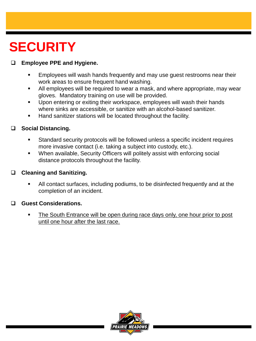### **SECURITY**

#### **Employee PPE and Hygiene.**

- Employees will wash hands frequently and may use guest restrooms near their work areas to ensure frequent hand washing.
- All employees will be required to wear a mask, and where appropriate, may wear gloves. Mandatory training on use will be provided.
- **Upon entering or exiting their workspace, employees will wash their hands** where sinks are accessible, or sanitize with an alcohol-based sanitizer.
- **Hand sanitizer stations will be located throughout the facility.**

#### **Social Distancing.**

- Standard security protocols will be followed unless a specific incident requires more invasive contact (i.e. taking a subject into custody, etc.).
- When available, Security Officers will politely assist with enforcing social distance protocols throughout the facility.

#### **Cleaning and Sanitizing.**

 All contact surfaces, including podiums, to be disinfected frequently and at the completion of an incident.

#### **Guest Considerations.**

 The South Entrance will be open during race days only, one hour prior to post until one hour after the last race.